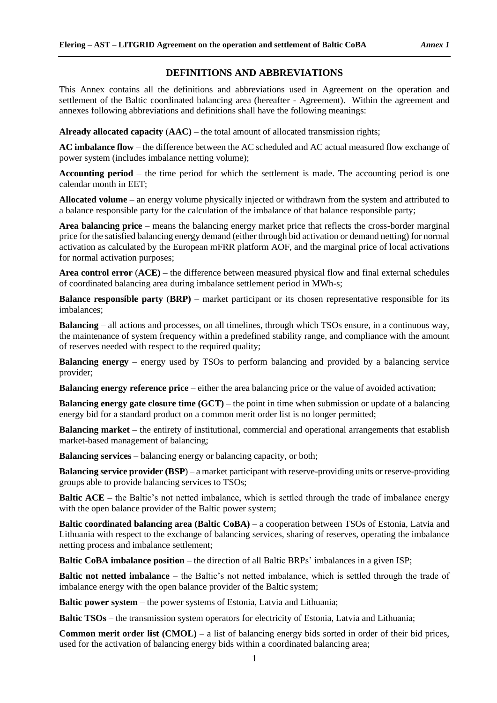## **DEFINITIONS AND ABBREVIATIONS**

This Annex contains all the definitions and abbreviations used in Agreement on the operation and settlement of the Baltic coordinated balancing area (hereafter - Agreement). Within the agreement and annexes following abbreviations and definitions shall have the following meanings:

**Already allocated capacity** (**AAC)** *–* the total amount of allocated transmission rights;

**AC imbalance flow** *–* the difference between the AC scheduled and AC actual measured flow exchange of power system (includes imbalance netting volume);

**Accounting period** *–* the time period for which the settlement is made. The accounting period is one calendar month in EET;

**Allocated volume** *–* an energy volume physically injected or withdrawn from the system and attributed to a balance responsible party for the calculation of the imbalance of that balance responsible party;

**Area balancing price** *–* means the balancing energy market price that reflects the cross-border marginal price for the satisfied balancing energy demand (either through bid activation or demand netting) for normal activation as calculated by the European mFRR platform AOF, and the marginal price of local activations for normal activation purposes;

**Area control error** (**ACE)** *–* the difference between measured physical flow and final external schedules of coordinated balancing area during imbalance settlement period in MWh-s;

**Balance responsible party** (**BRP)** *–* market participant or its chosen representative responsible for its imbalances;

**Balancing** – all actions and processes, on all timelines, through which TSOs ensure, in a continuous way, the maintenance of system frequency within a predefined stability range, and compliance with the amount of reserves needed with respect to the required quality;

**Balancing energy** – energy used by TSOs to perform balancing and provided by a balancing service provider;

**Balancing energy reference price** – either the area balancing price or the value of avoided activation;

**Balancing energy gate closure time (GCT) – the point in time when submission or update of a balancing** energy bid for a standard product on a common merit order list is no longer permitted;

**Balancing market** – the entirety of institutional, commercial and operational arrangements that establish market-based management of balancing;

**Balancing services** *–* balancing energy or balancing capacity, or both;

**Balancing service provider (BSP**) *–* a market participant with reserve-providing units or reserve-providing groups able to provide balancing services to TSOs;

**Baltic ACE** – the Baltic's not netted imbalance, which is settled through the trade of imbalance energy with the open balance provider of the Baltic power system;

**Baltic coordinated balancing area (Baltic CoBA) – a cooperation between TSOs of Estonia, Latvia and** Lithuania with respect to the exchange of balancing services, sharing of reserves, operating the imbalance netting process and imbalance settlement;

**Baltic CoBA imbalance position** – the direction of all Baltic BRPs' imbalances in a given ISP;

**Baltic not netted imbalance** – the Baltic's not netted imbalance, which is settled through the trade of imbalance energy with the open balance provider of the Baltic system;

**Baltic power system** – the power systems of Estonia, Latvia and Lithuania;

**Baltic TSOs** – the transmission system operators for electricity of Estonia, Latvia and Lithuania;

**Common merit order list (CMOL)** *–* a list of balancing energy bids sorted in order of their bid prices, used for the activation of balancing energy bids within a coordinated balancing area;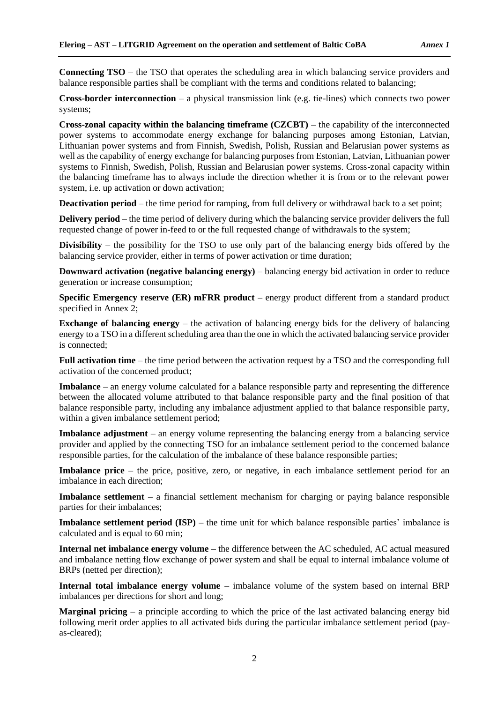**Connecting TSO** *–* the TSO that operates the scheduling area in which balancing service providers and balance responsible parties shall be compliant with the terms and conditions related to balancing;

**Cross-border interconnection** *–* a physical transmission link (e.g. tie-lines) which connects two power systems;

**[Cross-zonal capacity](https://emr.entsoe.eu/glossary/bin/view/CustomizationsCode/Term?termID=772cfb21%2D1cff%2D4c7d%2Da0ea%2D61f01b32cd96) within the balancing timeframe (CZCBT)** *–* the capability of the interconnected power systems to accommodate energy exchange for balancing purposes among Estonian, Latvian, Lithuanian power systems and from Finnish, Swedish, Polish, Russian and Belarusian power systems as well as the capability of energy exchange for balancing purposes from Estonian, Latvian, Lithuanian power systems to Finnish, Swedish, Polish, Russian and Belarusian power systems. Cross-zonal capacity within the balancing timeframe has to always include the direction whether it is from or to the relevant power system, i.e. up activation or down activation;

**Deactivation period** – the time period for ramping, from full delivery or withdrawal back to a set point;

**Delivery period** – the time period of delivery during which the balancing service provider delivers the full requested change of power in-feed to or the full requested change of withdrawals to the system;

**Divisibility** – the possibility for the TSO to use only part of the balancing energy bids offered by the balancing service provider, either in terms of power activation or time duration;

**Downward activation (negative balancing energy)** *–* balancing energy bid activation in order to reduce generation or increase consumption;

**Specific Emergency reserve (ER) mFRR product** *–* energy product different from a standard product specified in Annex 2;

**Exchange of balancing energy** – the activation of balancing energy bids for the delivery of balancing energy to a TSO in a different scheduling area than the one in which the activated balancing service provider is connected;

**Full activation time** *–* the time period between the activation request by a TSO and the corresponding full activation of the concerned product;

**Imbalance** *–* an energy volume calculated for a balance responsible party and representing the difference between the allocated volume attributed to that balance responsible party and the final position of that balance responsible party, including any imbalance adjustment applied to that balance responsible party, within a given imbalance settlement period;

**Imbalance adjustment** *–* an energy volume representing the balancing energy from a balancing service provider and applied by the connecting TSO for an imbalance settlement period to the concerned balance responsible parties, for the calculation of the imbalance of these balance responsible parties;

**Imbalance price** – the price, positive, zero, or negative, in each imbalance settlement period for an imbalance in each direction;

**Imbalance settlement** *–* a financial settlement mechanism for charging or paying balance responsible parties for their imbalances;

**Imbalance settlement period (ISP) – the time unit for which balance responsible parties' imbalance is** calculated and is equal to 60 min;

**Internal net imbalance energy volume** *–* the difference between the AC scheduled, AC actual measured and imbalance netting flow exchange of power system and shall be equal to internal imbalance volume of BRPs (netted per direction);

**Internal total imbalance energy volume** *–* imbalance volume of the system based on internal BRP imbalances per directions for short and long;

**Marginal pricing** – a principle according to which the price of the last activated balancing energy bid following merit order applies to all activated bids during the particular imbalance settlement period (payas-cleared);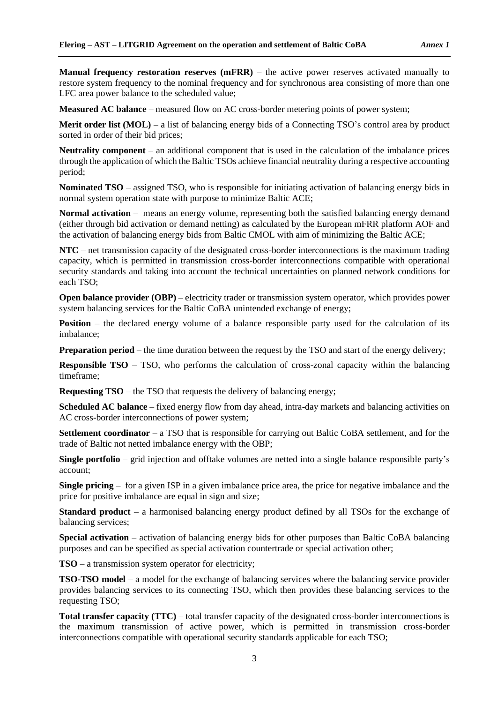**Manual frequency restoration reserves (mFRR)** – the active power reserves activated manually to restore system frequency to the nominal frequency and for synchronous area consisting of more than one LFC area power balance to the scheduled value;

**Measured AC balance** – measured flow on AC cross-border metering points of power system;

**Merit order list (MOL)** – a list of balancing energy bids of a Connecting TSO's control area by product sorted in order of their bid prices;

**Neutrality component** – an additional component that is used in the calculation of the imbalance prices through the application of which the Baltic TSOs achieve financial neutrality during a respective accounting period;

**Nominated TSO** – assigned TSO, who is responsible for initiating activation of balancing energy bids in normal system operation state with purpose to minimize Baltic ACE;

**Normal activation** – means an energy volume, representing both the satisfied balancing energy demand (either through bid activation or demand netting) as calculated by the European mFRR platform AOF and the activation of balancing energy bids from Baltic CMOL with aim of minimizing the Baltic ACE;

**NTC** – net transmission capacity of the designated cross-border interconnections is the maximum trading capacity, which is permitted in transmission cross-border interconnections compatible with operational security standards and taking into account the technical uncertainties on planned network conditions for each TSO;

**Open balance provider (OBP)** – electricity trader or transmission system operator, which provides power system balancing services for the Baltic CoBA unintended exchange of energy;

**Position** – the declared energy volume of a balance responsible party used for the calculation of its imbalance;

**Preparation period** – the time duration between the request by the TSO and start of the energy delivery;

**Responsible TSO** – TSO, who performs the calculation of [cross-zonal capacity](https://emr.entsoe.eu/glossary/bin/view/CustomizationsCode/Term?termID=772cfb21%2D1cff%2D4c7d%2Da0ea%2D61f01b32cd96) within the balancing timeframe;

**Requesting TSO** – the TSO that requests the delivery of balancing energy;

**Scheduled AC balance** – fixed energy flow from day ahead, intra-day markets and balancing activities on AC cross-border interconnections of power system;

**Settlement coordinator** – a TSO that is responsible for carrying out Baltic CoBA settlement, and for the trade of Baltic not netted imbalance energy with the OBP;

**Single portfolio** – grid injection and offtake volumes are netted into a single balance responsible party's account;

**Single pricing** – for a given ISP in a given imbalance price area, the price for negative imbalance and the price for positive imbalance are equal in sign and size;

**Standard product** – a harmonised balancing energy product defined by all TSOs for the exchange of balancing services;

**Special activation** – activation of balancing energy bids for other purposes than Baltic CoBA balancing purposes and can be specified as special activation countertrade or special activation other;

**TSO** – a transmission system operator for electricity;

**TSO-TSO model** – a model for the exchange of balancing services where the balancing service provider provides balancing services to its connecting TSO, which then provides these balancing services to the requesting TSO;

**Total transfer capacity (TTC)** – total transfer capacity of the designated cross-border interconnections is the maximum transmission of active power, which is permitted in transmission cross-border interconnections compatible with operational security standards applicable for each TSO;